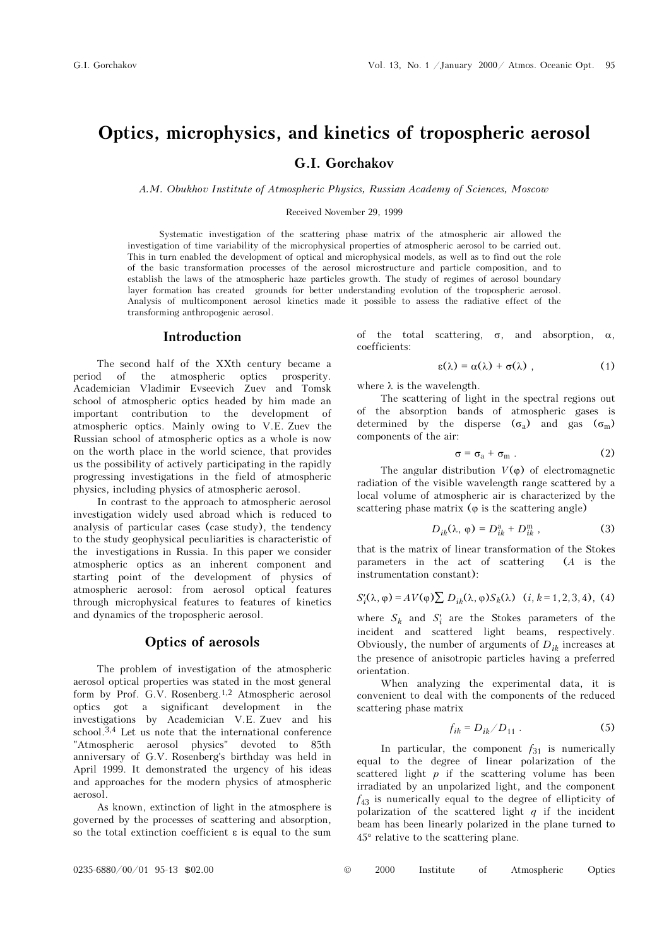# Optics, microphysics, and kinetics of tropospheric aerosol G.I. Gorchakov

A.M. Obukhov Institute of Atmospheric Physics, Russian Academy of Sciences, Moscow

Received November 29, 1999

Systematic investigation of the scattering phase matrix of the atmospheric air allowed the investigation of time variability of the microphysical properties of atmospheric aerosol to be carried out. This in turn enabled the development of optical and microphysical models, as well as to find out the role of the basic transformation processes of the aerosol microstructure and particle composition, and to establish the laws of the atmospheric haze particles growth. The study of regimes of aerosol boundary layer formation has created grounds for better understanding evolution of the tropospheric aerosol. Analysis of multicomponent aerosol kinetics made it possible to assess the radiative effect of the transforming anthropogenic aerosol.

#### Introduction

The second half of the XXth century became a period of the atmospheric optics prosperity. Academician Vladimir Evseevich Zuev and Tomsk school of atmospheric optics headed by him made an important contribution to the development of atmospheric optics. Mainly owing to V.E. Zuev the Russian school of atmospheric optics as a whole is now on the worth place in the world science, that provides us the possibility of actively participating in the rapidly progressing investigations in the field of atmospheric physics, including physics of atmospheric aerosol.

In contrast to the approach to atmospheric aerosol investigation widely used abroad which is reduced to analysis of particular cases (case study), the tendency to the study geophysical peculiarities is characteristic of the investigations in Russia. In this paper we consider atmospheric optics as an inherent component and starting point of the development of physics of atmospheric aerosol: from aerosol optical features through microphysical features to features of kinetics and dynamics of the tropospheric aerosol.

#### Optics of aerosols

The problem of investigation of the atmospheric aerosol optical properties was stated in the most general form by Prof. G.V. Rosenberg.1,2 Atmospheric aerosol optics got a significant development in the investigations by Academician V.E. Zuev and his school.3,4 Let us note that the international conference "Atmospheric aerosol physics" devoted to 85th anniversary of G.V. Rosenberg's birthday was held in April 1999. It demonstrated the urgency of his ideas and approaches for the modern physics of atmospheric aerosol.

As known, extinction of light in the atmosphere is governed by the processes of scattering and absorption, so the total extinction coefficient ε is equal to the sum of the total scattering, σ, and absorption, α, coefficients:

$$
\varepsilon(\lambda) = \alpha(\lambda) + \sigma(\lambda) \tag{1}
$$

where  $\lambda$  is the wavelength.

The scattering of light in the spectral regions out of the absorption bands of atmospheric gases is determined by the disperse  $(\sigma_a)$  and gas  $(\sigma_m)$ <br>components of the air: components of the air:

$$
\sigma = \sigma_{a} + \sigma_{m} \tag{2}
$$

The angular distribution  $V(\varphi)$  of electromagnetic radiation of the visible wavelength range scattered by a local volume of atmospheric air is characterized by the scattering phase matrix  $(\varphi)$  is the scattering angle)

$$
D_{ik}(\lambda, \varphi) = D_{ik}^{\mathrm{a}} + D_{ik}^{\mathrm{m}} \,, \tag{3}
$$

that is the matrix of linear transformation of the Stokes parameters in the act of scattering (A is the instrumentation constant):

$$
S_i'(\lambda, \varphi) = AV(\varphi) \sum D_{ik}(\lambda, \varphi) S_k(\lambda) \quad (i, k = 1, 2, 3, 4), \tag{4}
$$

where  $S_k$  and  $S'_i$  are the Stokes parameters of the incident and scattered light beams, respectively. Obviously, the number of arguments of  $D_{ik}$  increases at the presence of anisotropic particles having a preferred orientation.

When analyzing the experimental data, it is convenient to deal with the components of the reduced scattering phase matrix

$$
f_{ik} = D_{ik} / D_{11} . \tag{5}
$$

In particular, the component  $f_{31}$  is numerically equal to the degree of linear polarization of the scattered light  $p$  if the scattering volume has been irradiated by an unpolarized light, and the component  $f_{43}$  is numerically equal to the degree of ellipticity of polarization of the scattered light  $q$  if the incident beam has been linearly polarized in the plane turned to 45° relative to the scattering plane.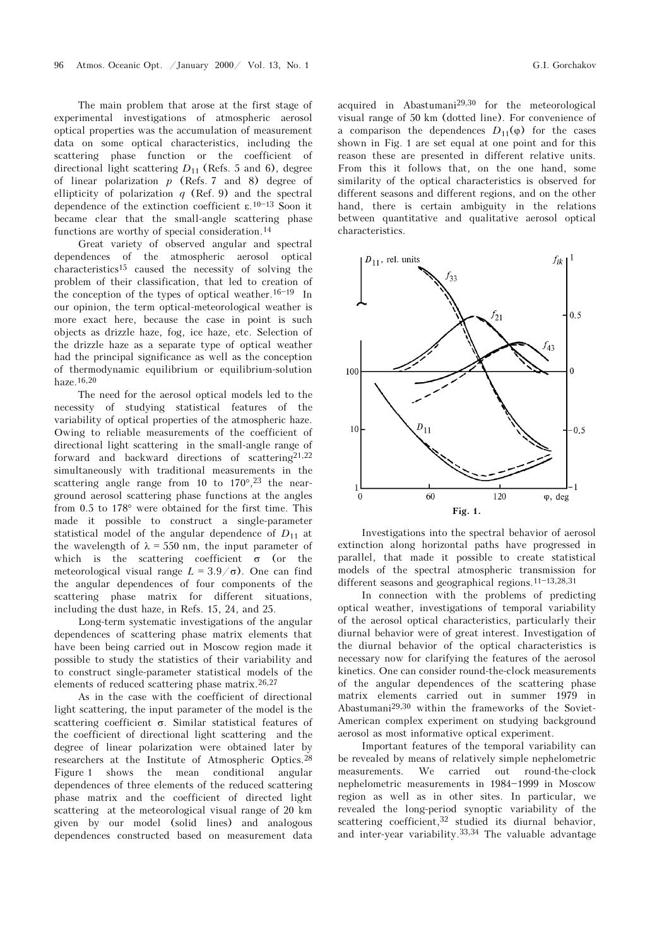The main problem that arose at the first stage of experimental investigations of atmospheric aerosol optical properties was the accumulation of measurement data on some optical characteristics, including the scattering phase function or the coefficient of directional light scattering  $D_{11}$  (Refs. 5 and 6), degree of linear polarization  $p$  (Refs. 7 and 8) degree of ellipticity of polarization  $q$  (Ref. 9) and the spectral dependence of the extinction coefficient  $\varepsilon$ .<sup>10-13</sup> Soon it became clear that the small-angle scattering phase functions are worthy of special consideration.14

Great variety of observed angular and spectral dependences of the atmospheric aerosol optical characteristics15 caused the necessity of solving the problem of their classification, that led to creation of the conception of the types of optical weather.<sup>16-19</sup> In our opinion, the term optical-meteorological weather is more exact here, because the case in point is such objects as drizzle haze, fog, ice haze, etc. Selection of the drizzle haze as a separate type of optical weather had the principal significance as well as the conception of thermodynamic equilibrium or equilibrium-solution haze.16,20

The need for the aerosol optical models led to the necessity of studying statistical features of the variability of optical properties of the atmospheric haze. Owing to reliable measurements of the coefficient of directional light scattering in the small-angle range of forward and backward directions of scattering $21,22$ simultaneously with traditional measurements in the scattering angle range from 10 to  $170^{\circ}$ , <sup>23</sup> the nearground aerosol scattering phase functions at the angles from 0.5 to 178° were obtained for the first time. This made it possible to construct a single-parameter statistical model of the angular dependence of  $D_{11}$  at the wavelength of  $\lambda = 550$  nm, the input parameter of which is the scattering coefficient  $\sigma$  (or the meteorological visual range  $L = 3.9/\sigma$ ). One can find the angular dependences of four components of the scattering phase matrix for different situations, including the dust haze, in Refs. 15, 24, and 25.

Long-term systematic investigations of the angular dependences of scattering phase matrix elements that have been being carried out in Moscow region made it possible to study the statistics of their variability and to construct single-parameter statistical models of the elements of reduced scattering phase matrix.26,27

As in the case with the coefficient of directional light scattering, the input parameter of the model is the scattering coefficient σ. Similar statistical features of the coefficient of directional light scattering and the degree of linear polarization were obtained later by researchers at the Institute of Atmospheric Optics.28 Figure 1 shows the mean conditional angular dependences of three elements of the reduced scattering phase matrix and the coefficient of directed light scattering at the meteorological visual range of 20 km given by our model (solid lines) and analogous dependences constructed based on measurement data acquired in Abastumani29,30 for the meteorological visual range of 50 km (dotted line). For convenience of a comparison the dependences  $D_{11}(\varphi)$  for the cases shown in Fig. 1 are set equal at one point and for this reason these are presented in different relative units. From this it follows that, on the one hand, some similarity of the optical characteristics is observed for different seasons and different regions, and on the other hand, there is certain ambiguity in the relations between quantitative and qualitative aerosol optical characteristics.



Investigations into the spectral behavior of aerosol extinction along horizontal paths have progressed in parallel, that made it possible to create statistical models of the spectral atmospheric transmission for different seasons and geographical regions.<sup>11-13,28,31</sup>

In connection with the problems of predicting optical weather, investigations of temporal variability of the aerosol optical characteristics, particularly their diurnal behavior were of great interest. Investigation of the diurnal behavior of the optical characteristics is necessary now for clarifying the features of the aerosol kinetics. One can consider round-the-clock measurements of the angular dependences of the scattering phase matrix elements carried out in summer 1979 in Abastumani29,30 within the frameworks of the Soviet-American complex experiment on studying background aerosol as most informative optical experiment.

Important features of the temporal variability can be revealed by means of relatively simple nephelometric measurements. We carried out round-the-clock nephelometric measurements in 1984-1999 in Moscow region as well as in other sites. In particular, we revealed the long-period synoptic variability of the scattering coefficient,<sup>32</sup> studied its diurnal behavior, and inter-year variability.33,34 The valuable advantage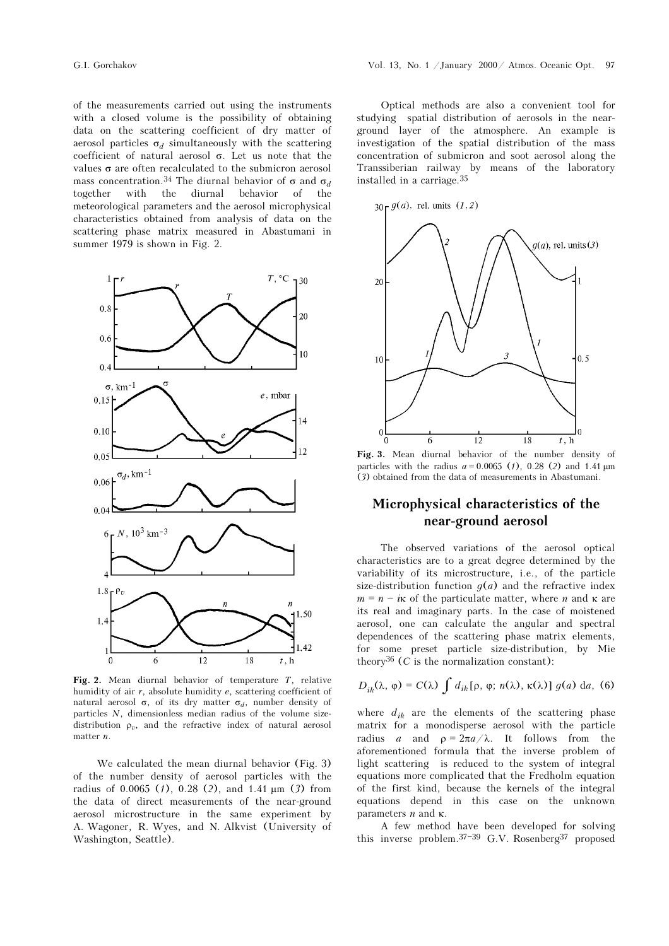of the measurements carried out using the instruments with a closed volume is the possibility of obtaining data on the scattering coefficient of dry matter of aerosol particles  $\sigma_d$  simultaneously with the scattering coefficient of natural aerosol σ. Let us note that the values  $\sigma$  are often recalculated to the submicron aerosol mass concentration.<sup>34</sup> The diurnal behavior of  $\sigma$  and  $\sigma_d$ together with the diurnal behavior of the meteorological parameters and the aerosol microphysical characteristics obtained from analysis of data on the scattering phase matrix measured in Abastumani in summer 1979 is shown in Fig. 2.



Fig. 2. Mean diurnal behavior of temperature  $T$ , relative humidity of air  $r$ , absolute humidity  $e$ , scattering coefficient of natural aerosol σ, of its dry matter σ<sub>d</sub>, number density of particles N, dimensionless median radius of the volume sizedistribution  $\rho_n$ , and the refractive index of natural aerosol matter n.

We calculated the mean diurnal behavior (Fig. 3) of the number density of aerosol particles with the radius of 0.0065 (1), 0.28 (2), and 1.41  $\mu$ m (3) from the data of direct measurements of the near-ground aerosol microstructure in the same experiment by A. Wagoner, R. Wyes, and N. Alkvist (University of Washington, Seattle).

Optical methods are also a convenient tool for studying spatial distribution of aerosols in the nearground layer of the atmosphere. An example is investigation of the spatial distribution of the mass concentration of submicron and soot aerosol along the Transsiberian railway by means of the laboratory installed in a carriage.35



Fig. 3. Mean diurnal behavior of the number density of particles with the radius  $a = 0.0065$  (1), 0.28 (2) and 1.41  $\mu$ m (3) obtained from the data of measurements in Abastumani.

## Microphysical characteristics of the near-ground aerosol

The observed variations of the aerosol optical characteristics are to a great degree determined by the variability of its microstructure, i.e., of the particle size-distribution function  $q(a)$  and the refractive index  $m = n - i\kappa$  of the particulate matter, where n and  $\kappa$  are its real and imaginary parts. In the case of moistened aerosol, one can calculate the angular and spectral dependences of the scattering phase matrix elements, for some preset particle size-distribution, by Mie theory<sup>36</sup> (C is the normalization constant):

$$
D_{ik}(\lambda, \varphi) = C(\lambda) \int d_{ik} [\rho, \varphi; n(\lambda), \kappa(\lambda)] g(a) da, (6)
$$

where  $d_{ik}$  are the elements of the scattering phase matrix for a monodisperse aerosol with the particle radius a and  $\rho = 2\pi a/\lambda$ . It follows from the aforementioned formula that the inverse problem of light scattering is reduced to the system of integral equations more complicated that the Fredholm equation of the first kind, because the kernels of the integral equations depend in this case on the unknown parameters  $n$  and  $κ$ .

A few method have been developed for solving this inverse problem.<sup>37-39</sup> G.V. Rosenberg<sup>37</sup> proposed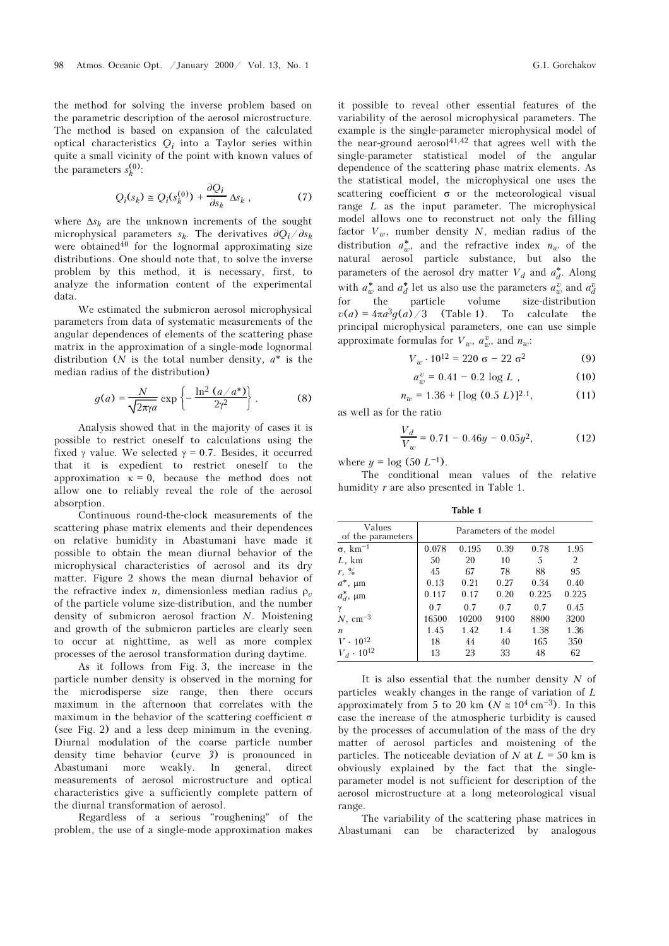the method for solving the inverse problem based on the parametric description of the aerosol microstructure. The method is based on expansion of the calculated optical characteristics  $Q_i$  into a Taylor series within quite a small vicinity of the point with known values of the parameters  $s_k^{(0)}$ :

$$
Q_i(s_k) \cong Q_i(s_k^{(0)}) + \frac{\partial Q_i}{\partial s_k} \Delta s_k \,, \tag{7}
$$

where  $\Delta s_k$  are the unknown increments of the sought microphysical parameters  $s_k$ . The derivatives  $\partial Q_i / \partial s_k$ were obtained<sup>40</sup> for the lognormal approximating size distributions. One should note that, to solve the inverse problem by this method, it is necessary, first, to analyze the information content of the experimental data.

We estimated the submicron aerosol microphysical parameters from data of systematic measurements of the angular dependences of elements of the scattering phase matrix in the approximation of a single-mode lognormal distribution (N is the total number density,  $a^*$  is the median radius of the distribution)

$$
g(a) = \frac{N}{\sqrt{2\pi\gamma a}} \exp\left\{-\frac{\ln^2\left(a/a^*\right)}{2\gamma^2}\right\}.
$$
 (8)

Analysis showed that in the majority of cases it is possible to restrict oneself to calculations using the fixed γ value. We selected  $\gamma = 0.7$ . Besides, it occurred that it is expedient to restrict oneself to the approximation  $\kappa = 0$ , because the method does not allow one to reliably reveal the role of the aerosol absorption.

Continuous round-the-clock measurements of the scattering phase matrix elements and their dependences on relative humidity in Abastumani have made it possible to obtain the mean diurnal behavior of the microphysical characteristics of aerosol and its dry matter. Figure 2 shows the mean diurnal behavior of the refractive index *n*, dimensionless median radius  $\rho_n$ of the particle volume size-distribution, and the number density of submicron aerosol fraction N. Moistening and growth of the submicron particles are clearly seen to occur at nighttime, as well as more complex processes of the aerosol transformation during daytime.

As it follows from Fig. 3, the increase in the particle number density is observed in the morning for the microdisperse size range, then there occurs maximum in the afternoon that correlates with the maximum in the behavior of the scattering coefficient  $\sigma$ (see Fig. 2) and a less deep minimum in the evening. Diurnal modulation of the coarse particle number density time behavior (curve 3) is pronounced in Abastumani more weakly. In general, direct measurements of aerosol microstructure and optical characteristics give a sufficiently complete pattern of the diurnal transformation of aerosol.

Regardless of a serious "roughening" of the problem, the use of a single-mode approximation makes it possible to reveal other essential features of the variability of the aerosol microphysical parameters. The example is the single-parameter microphysical model of the near-ground aerosol $41,42$  that agrees well with the single-parameter statistical model of the angular dependence of the scattering phase matrix elements. As the statistical model, the microphysical one uses the scattering coefficient  $\sigma$  or the meteorological visual range  $L$  as the input parameter. The microphysical model allows one to reconstruct not only the filling factor  $V_w$ , number density N, median radius of the distribution  $a^*_{w}$ , and the refractive index  $n_{w}$  of the natural aerosol particle substance, but also the parameters of the aerosol dry matter  $V_d$  and  $a_d^*$ . Along with  $a_w^*$  and  $a_d^*$  let us also use the parameters  $a_w^v$  and  $a_d^v$ for the particle volume size-distribution  $v(a) = 4\pi a^3 g(a)/3$  (Table 1). To calculate the principal microphysical parameters, one can use simple approximate formulas for  $V_w$ ,  $a_w^v$ , and  $n_w$ :<br>  $V_w \cdot 10^{12} = 220 \sigma - 22 \sigma^2$  (9)

$$
V_w \cdot 10^{12} = 220 \sigma - 22 \sigma^2 \tag{9}
$$

$$
a_w^v = 0.41 - 0.2 \log L , \qquad (10)
$$

$$
n_w = 1.36 + [\log (0.5 \, L)]^{2.1},\tag{11}
$$

as well as for the ratio

$$
\frac{V_d}{V_w} = 0.71 - 0.46y - 0.05y^2, \tag{12}
$$

where  $y = \log (50 L^{-1})$ .

The conditional mean values of the relative humidity r are also presented in Table 1.

Table 1

| Values<br>of the parameters | Parameters of the model |       |      |       |                |
|-----------------------------|-------------------------|-------|------|-------|----------------|
| $\sigma$ , km <sup>-1</sup> | 0.078                   | 0.195 | 0.39 | 0.78  | 1.95           |
| $L$ , km                    | 50                      | 20    | 10   | 5     | $\overline{2}$ |
| $r, \frac{9}{6}$            | 45                      | 67    | 78   | 88    | 95             |
| $a^*$ , $\mu$ m             | 0.13                    | 0.21  | 0.27 | 0.34  | 0.40           |
| $a_d^*$ , $\mu$ m           | 0.117                   | 0.17  | 0.20 | 0.225 | 0.225          |
| $\gamma$                    | 0.7                     | 0.7   | 0.7  | 0.7   | 0.45           |
| $N, \text{ cm}^{-3}$        | 16500                   | 10200 | 9100 | 8800  | 3200           |
| $\boldsymbol{n}$            | 1.45                    | 1.42  | 1.4  | 1.38  | 1.36           |
| $V \cdot 10^{12}$           | 18                      | 44    | 40   | 165   | 350            |
| $V_d \cdot 10^{12}$         | 13                      | 23    | 33   | 48    | 62             |

It is also essential that the number density  $N$  of particles weakly changes in the range of variation of L approximately from 5 to 20 km ( $N \approx 10^4$  cm<sup>-3</sup>). In this case the increase of the atmospheric turbidity is caused by the processes of accumulation of the mass of the dry matter of aerosol particles and moistening of the particles. The noticeable deviation of  $N$  at  $L = 50$  km is obviously explained by the fact that the singleparameter model is not sufficient for description of the aerosol microstructure at a long meteorological visual range.

The variability of the scattering phase matrices in Abastumani can be characterized by analogous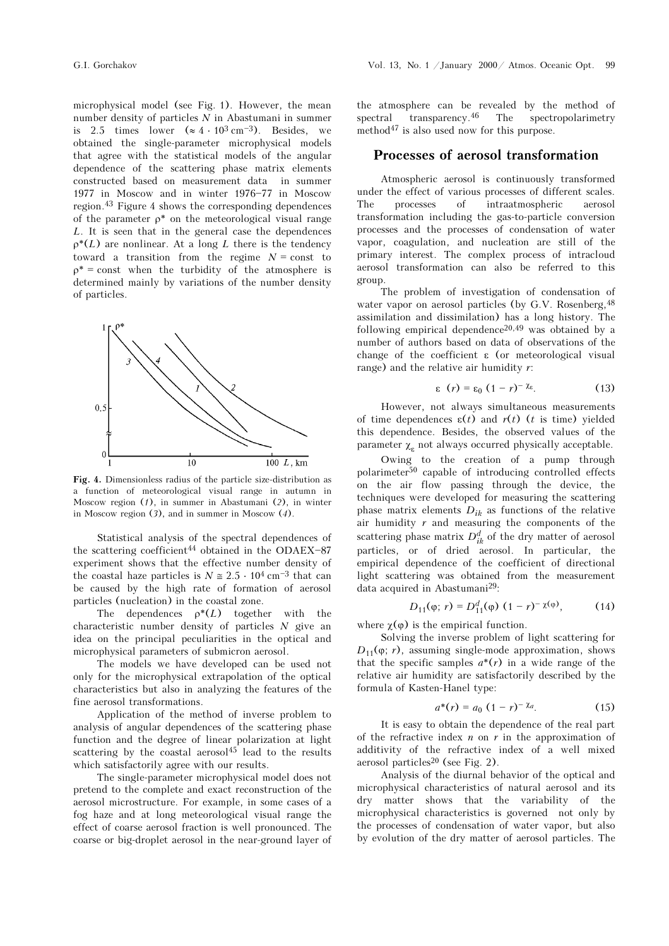microphysical model (see Fig. 1). However, the mean number density of particles  $N$  in Abastumani in summer is 2.5 times lower  $(\approx 4 \cdot 10^3 \text{ cm}^{-3})$ . Besides, we obtained the single-parameter microphysical models that agree with the statistical models of the angular dependence of the scattering phase matrix elements constructed based on measurement data in summer 1977 in Moscow and in winter 1976-77 in Moscow region.43 Figure 4 shows the corresponding dependences of the parameter  $\rho^*$  on the meteorological visual range L. It is seen that in the general case the dependences  $\rho^*(L)$  are nonlinear. At a long L there is the tendency toward a transition from the regime  $N =$  const to  $\rho^*$  = const when the turbidity of the atmosphere is determined mainly by variations of the number density of particles.



Fig. 4. Dimensionless radius of the particle size-distribution as a function of meteorological visual range in autumn in Moscow region  $(1)$ , in summer in Abastumani  $(2)$ , in winter in Moscow region (3), and in summer in Moscow (4).

Statistical analysis of the spectral dependences of the scattering coefficient<sup>44</sup> obtained in the ODAEX $-87$ experiment shows that the effective number density of the coastal haze particles is  $N \approx 2.5 \cdot 10^4$  cm<sup>-3</sup> that can be caused by the high rate of formation of aerosol particles (nucleation) in the coastal zone.

The dependences  $\rho^*(L)$  together with the characteristic number density of particles  $N$  give an idea on the principal peculiarities in the optical and microphysical parameters of submicron aerosol.

The models we have developed can be used not only for the microphysical extrapolation of the optical characteristics but also in analyzing the features of the fine aerosol transformations.

Application of the method of inverse problem to analysis of angular dependences of the scattering phase function and the degree of linear polarization at light scattering by the coastal aerosol<sup>45</sup> lead to the results which satisfactorily agree with our results.

The single-parameter microphysical model does not pretend to the complete and exact reconstruction of the aerosol microstructure. For example, in some cases of a fog haze and at long meteorological visual range the effect of coarse aerosol fraction is well pronounced. The coarse or big-droplet aerosol in the near-ground layer of the atmosphere can be revealed by the method of spectral transparency.46 The spectropolarimetry method<sup>47</sup> is also used now for this purpose.

### Processes of aerosol transformation

Atmospheric aerosol is continuously transformed under the effect of various processes of different scales. The processes of intraatmospheric aerosol transformation including the gas-to-particle conversion processes and the processes of condensation of water vapor, coagulation, and nucleation are still of the primary interest. The complex process of intracloud aerosol transformation can also be referred to this group.

The problem of investigation of condensation of water vapor on aerosol particles (by G.V. Rosenberg,  $48$ assimilation and dissimilation) has a long history. The following empirical dependence<sup>20,49</sup> was obtained by a number of authors based on data of observations of the change of the coefficient ε (or meteorological visual range) and the relative air humidity  $r$ :

$$
\varepsilon \quad (r) = \varepsilon_0 \ (1 - r)^{-\chi_{\varepsilon}}.\tag{13}
$$

However, not always simultaneous measurements of time dependences  $\varepsilon(t)$  and  $r(t)$  (t is time) yielded this dependence. Besides, the observed values of the parameter  $\chi$ <sub>s</sub> not always occurred physically acceptable.

Owing to the creation of a pump through polarimeter50 capable of introducing controlled effects on the air flow passing through the device, the techniques were developed for measuring the scattering phase matrix elements  $D_{ik}$  as functions of the relative air humidity  $r$  and measuring the components of the scattering phase matrix  $D_{ik}^d$  of the dry matter of aerosol particles, or of dried aerosol. In particular, the empirical dependence of the coefficient of directional light scattering was obtained from the measurement data acquired in Abastumani29:

$$
D_{11}(\varphi; r) = D_{11}^d(\varphi) (1 - r)^{-\chi(\varphi)}, \qquad (14)
$$

where  $\chi(\varphi)$  is the empirical function.

Solving the inverse problem of light scattering for  $D_{11}(\varphi; r)$ , assuming single-mode approximation, shows that the specific samples  $a^*(r)$  in a wide range of the relative air humidity are satisfactorily described by the formula of Kasten-Hanel type:

$$
a^*(r) = a_0 (1 - r)^{-\chi_a}.
$$
 (15)

It is easy to obtain the dependence of the real part of the refractive index  $n$  on  $r$  in the approximation of additivity of the refractive index of a well mixed aerosol particles<sup>20</sup> (see Fig. 2).

Analysis of the diurnal behavior of the optical and microphysical characteristics of natural aerosol and its dry matter shows that the variability of the microphysical characteristics is governed not only by the processes of condensation of water vapor, but also by evolution of the dry matter of aerosol particles. The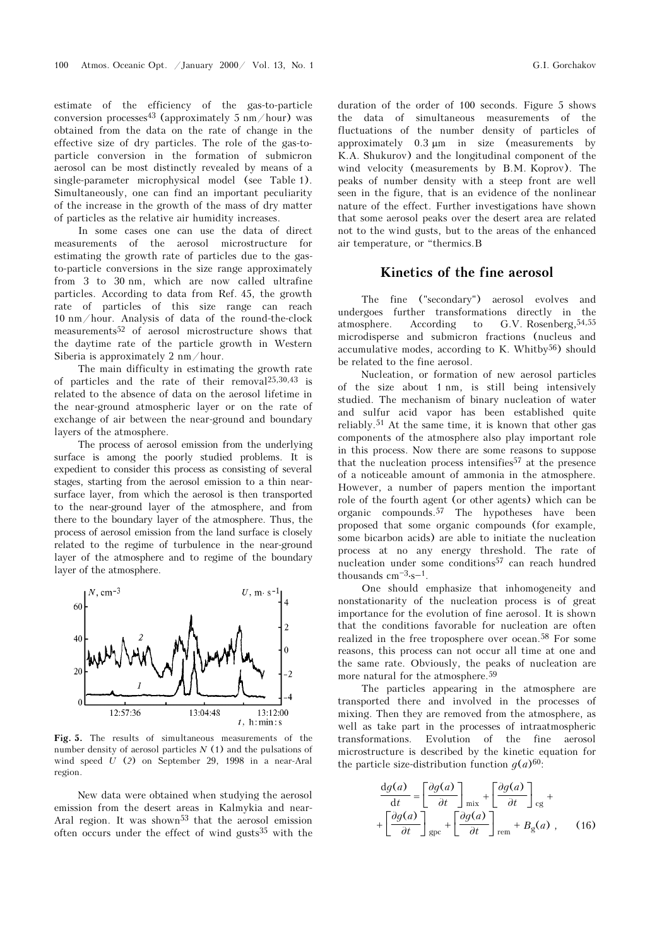estimate of the efficiency of the gas-to-particle conversion processes<sup>43</sup> (approximately 5 nm/hour) was obtained from the data on the rate of change in the effective size of dry particles. The role of the gas-toparticle conversion in the formation of submicron aerosol can be most distinctly revealed by means of a single-parameter microphysical model (see Table 1). Simultaneously, one can find an important peculiarity of the increase in the growth of the mass of dry matter of particles as the relative air humidity increases.

In some cases one can use the data of direct measurements of the aerosol microstructure for estimating the growth rate of particles due to the gasto-particle conversions in the size range approximately from 3 to 30 nm, which are now called ultrafine particles. According to data from Ref. 45, the growth rate of particles of this size range can reach 10 nm/hour. Analysis of data of the round-the-clock measurements52 of aerosol microstructure shows that the daytime rate of the particle growth in Western Siberia is approximately 2 nm/hour.

The main difficulty in estimating the growth rate of particles and the rate of their removal25,30,43 is related to the absence of data on the aerosol lifetime in the near-ground atmospheric layer or on the rate of exchange of air between the near-ground and boundary layers of the atmosphere.

The process of aerosol emission from the underlying surface is among the poorly studied problems. It is expedient to consider this process as consisting of several stages, starting from the aerosol emission to a thin nearsurface layer, from which the aerosol is then transported to the near-ground layer of the atmosphere, and from there to the boundary layer of the atmosphere. Thus, the process of aerosol emission from the land surface is closely related to the regime of turbulence in the near-ground layer of the atmosphere and to regime of the boundary layer of the atmosphere.



Fig. 5. The results of simultaneous measurements of the number density of aerosol particles  $N(1)$  and the pulsations of wind speed U (2) on September 29, 1998 in a near-Aral region.

New data were obtained when studying the aerosol emission from the desert areas in Kalmykia and near-Aral region. It was shown<sup>53</sup> that the aerosol emission often occurs under the effect of wind gusts35 with the duration of the order of 100 seconds. Figure 5 shows the data of simultaneous measurements of the fluctuations of the number density of particles of approximately 0.3 μm in size (measurements by K.A. Shukurov) and the longitudinal component of the wind velocity (measurements by B.M. Koprov). The peaks of number density with a steep front are well seen in the figure, that is an evidence of the nonlinear nature of the effect. Further investigations have shown that some aerosol peaks over the desert area are related not to the wind gusts, but to the areas of the enhanced air temperature, or "thermics.B

### Kinetics of the fine aerosol

The fine ("secondary") aerosol evolves and undergoes further transformations directly in the atmosphere. According to G.V. Rosenberg,54,55 microdisperse and submicron fractions (nucleus and accumulative modes, according to K. Whitby $56$ ) should be related to the fine aerosol.

Nucleation, or formation of new aerosol particles of the size about 1 nm, is still being intensively studied. The mechanism of binary nucleation of water and sulfur acid vapor has been established quite reliably.51 At the same time, it is known that other gas components of the atmosphere also play important role in this process. Now there are some reasons to suppose that the nucleation process intensifies<sup>57</sup> at the presence of a noticeable amount of ammonia in the atmosphere. However, a number of papers mention the important role of the fourth agent (or other agents) which can be organic compounds.57 The hypotheses have been proposed that some organic compounds (for example, some bicarbon acids) are able to initiate the nucleation process at no any energy threshold. The rate of nucleation under some conditions57 can reach hundred thousands  $\rm cm^{-3} \cdot s^{-1}.$ 

One should emphasize that inhomogeneity and nonstationarity of the nucleation process is of great importance for the evolution of fine aerosol. It is shown that the conditions favorable for nucleation are often realized in the free troposphere over ocean.58 For some reasons, this process can not occur all time at one and the same rate. Obviously, the peaks of nucleation are more natural for the atmosphere.59

The particles appearing in the atmosphere are transported there and involved in the processes of mixing. Then they are removed from the atmosphere, as well as take part in the processes of intraatmospheric transformations. Evolution of the fine aerosol microstructure is described by the kinetic equation for the particle size-distribution function  $q(a)^{60}$ :

$$
\frac{dg(a)}{dt} = \left[\frac{\partial g(a)}{\partial t}\right]_{mix} + \left[\frac{\partial g(a)}{\partial t}\right]_{cg} + \left[\frac{\partial g(a)}{\partial t}\right]_{cg} + \left[\frac{\partial g(a)}{\partial t}\right]_{gpc} + \left[\frac{\partial g(a)}{\partial t}\right]_{rem} + B_g(a) , \quad (16)
$$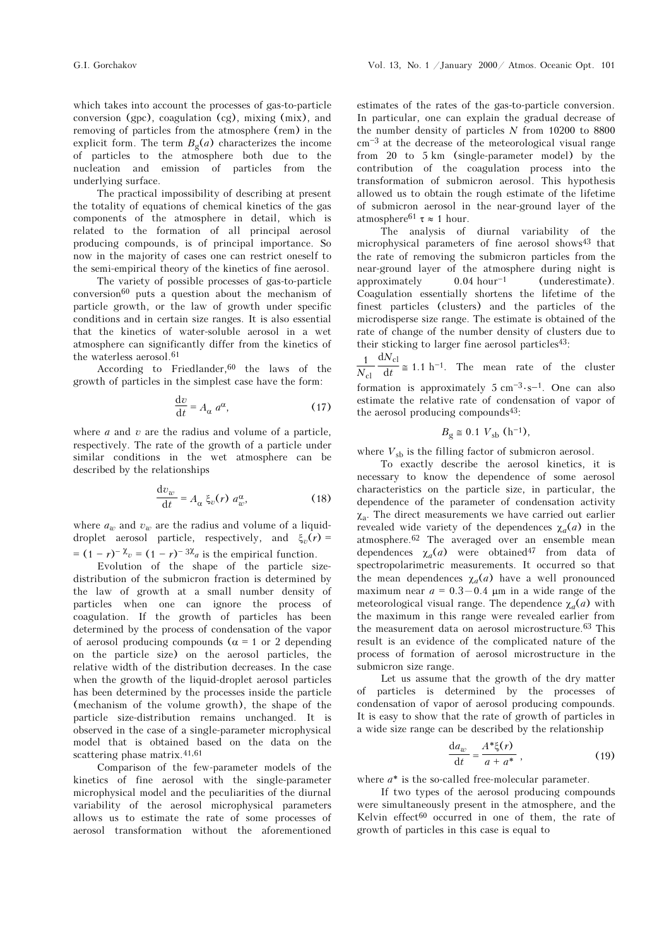which takes into account the processes of gas-to-particle conversion (gpc), coagulation (cg), mixing (mix), and removing of particles from the atmosphere (rem) in the explicit form. The term  $B_{\sigma}(a)$  characterizes the income of particles to the atmosphere both due to the nucleation and emission of particles from the underlying surface.

The practical impossibility of describing at present the totality of equations of chemical kinetics of the gas components of the atmosphere in detail, which is related to the formation of all principal aerosol producing compounds, is of principal importance. So now in the majority of cases one can restrict oneself to the semi-empirical theory of the kinetics of fine aerosol.

The variety of possible processes of gas-to-particle  $conversion<sup>60</sup>$  puts a question about the mechanism of particle growth, or the law of growth under specific conditions and in certain size ranges. It is also essential that the kinetics of water-soluble aerosol in a wet atmosphere can significantly differ from the kinetics of the waterless aerosol.<sup>61</sup>

According to Friedlander,  $60$  the laws of the growth of particles in the simplest case have the form:

$$
\frac{\mathrm{d}v}{\mathrm{d}t} = A_{\alpha} a^{\alpha},\tag{17}
$$

where  $a$  and  $v$  are the radius and volume of a particle, respectively. The rate of the growth of a particle under similar conditions in the wet atmosphere can be described by the relationships

$$
\frac{\mathrm{d}v_w}{\mathrm{d}t} = A_\alpha \xi_v(r) a_w^\alpha, \tag{18}
$$

where  $a_w$  and  $v_w$  are the radius and volume of a liquiddroplet aerosol particle, respectively, and  $\xi_v(r)$  =  $= (1 - r)^{-\lambda_v} = (1 - r)^{-3\lambda_a}$  is the empirical function.

Evolution of the shape of the particle sizedistribution of the submicron fraction is determined by the law of growth at a small number density of particles when one can ignore the process of coagulation. If the growth of particles has been determined by the process of condensation of the vapor of aerosol producing compounds ( $\alpha$  = 1 or 2 depending on the particle size) on the aerosol particles, the relative width of the distribution decreases. In the case when the growth of the liquid-droplet aerosol particles has been determined by the processes inside the particle (mechanism of the volume growth), the shape of the particle size-distribution remains unchanged. It is observed in the case of a single-parameter microphysical model that is obtained based on the data on the scattering phase matrix.<sup>41,61</sup>

Comparison of the few-parameter models of the kinetics of fine aerosol with the single-parameter microphysical model and the peculiarities of the diurnal variability of the aerosol microphysical parameters allows us to estimate the rate of some processes of aerosol transformation without the aforementioned

estimates of the rates of the gas-to-particle conversion. In particular, one can explain the gradual decrease of the number density of particles  $N$  from 10200 to 8800  $cm<sup>-3</sup>$  at the decrease of the meteorological visual range from 20 to 5 km (single-parameter model) by the contribution of the coagulation process into the transformation of submicron aerosol. This hypothesis allowed us to obtain the rough estimate of the lifetime of submicron aerosol in the near-ground layer of the atmosphere<sup>61</sup>  $\tau \approx 1$  hour.

The analysis of diurnal variability of the microphysical parameters of fine aerosol shows<sup>43</sup> that the rate of removing the submicron particles from the near-ground layer of the atmosphere during night is approximately  $0.04$  hour<sup>-1</sup> (underestimate). Coagulation essentially shortens the lifetime of the finest particles (clusters) and the particles of the microdisperse size range. The estimate is obtained of the rate of change of the number density of clusters due to their sticking to larger fine aerosol particles $43$ :

1  $N_{\text{cl}}$  $\frac{1}{N_{\text{cl}}} \frac{dN_{\text{cl}}}{dt} \cong 1.1 \text{ h}^{-1}$ . The mean rate of the cluster formation is approximately 5 cm<sup>-3</sup> ⋅ s<sup>-1</sup>. One can also estimate the relative rate of condensation of vapor of the aerosol producing compounds43:

$$
B_{\rm g} \cong 0.1 V_{\rm sb} \text{ (h}^{-1)},
$$

where  $V_{sb}$  is the filling factor of submicron aerosol.

To exactly describe the aerosol kinetics, it is necessary to know the dependence of some aerosol characteristics on the particle size, in particular, the dependence of the parameter of condensation activity  $\chi_a$ . The direct measurements we have carried out earlier<br>revealed wide variety of the dependences  $\chi(a)$  in the revealed wide variety of the dependences  $\chi_a(a)$  in the atmosphere.62 The averaged over an ensemble mean dependences  $\chi_a(a)$  were obtained<sup>47</sup> from data of spectropolarimetric measurements. It occurred so that the mean dependences  $\chi_a(a)$  have a well pronounced maximum near  $a = 0.3 - 0.4$  μm in a wide range of the meteorological visual range. The dependence  $\chi_a(a)$  with the maximum in this range were revealed earlier from the measurement data on aerosol microstructure.63 This result is an evidence of the complicated nature of the process of formation of aerosol microstructure in the submicron size range.

Let us assume that the growth of the dry matter of particles is determined by the processes of condensation of vapor of aerosol producing compounds. It is easy to show that the rate of growth of particles in a wide size range can be described by the relationship

$$
\frac{\mathrm{d}a_w}{\mathrm{d}t} = \frac{A^*\xi(r)}{a+a^*},\tag{19}
$$

where  $a^*$  is the so-called free-molecular parameter.

If two types of the aerosol producing compounds were simultaneously present in the atmosphere, and the Kelvin effect60 occurred in one of them, the rate of growth of particles in this case is equal to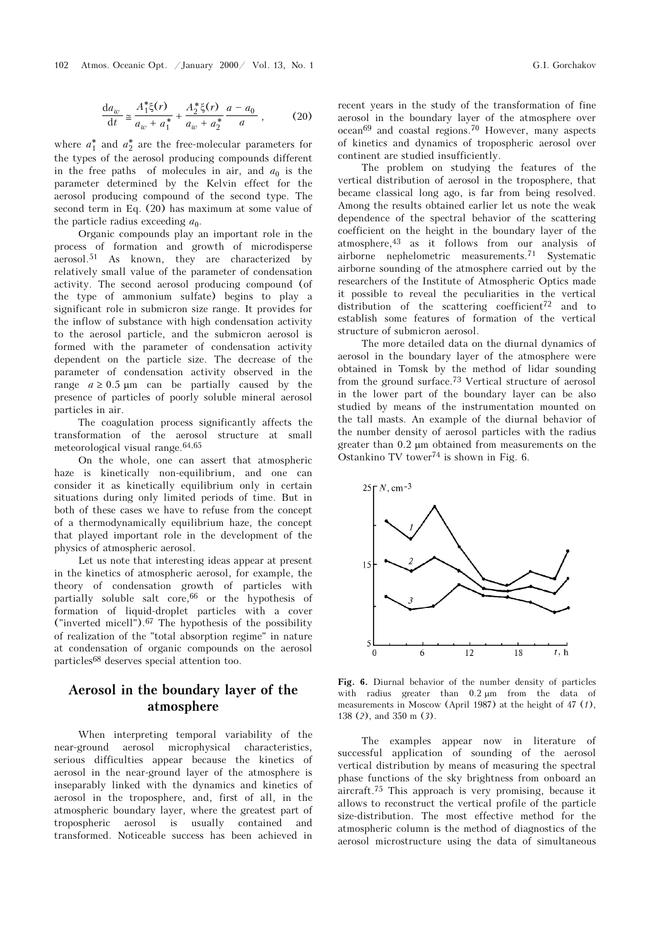$$
\frac{da_w}{dt} \approx \frac{A_1^* \xi(r)}{a_w + a_1^*} + \frac{A_2^* \xi(r)}{a_w + a_2^*} \frac{a - a_0}{a},
$$
 (20)

where  $a_1^*$  and  $a_2^*$  are the free-molecular parameters for the types of the aerosol producing compounds different in the free paths of molecules in air, and  $a_0$  is the parameter determined by the Kelvin effect for the aerosol producing compound of the second type. The second term in Eq. (20) has maximum at some value of the particle radius exceeding  $a_0$ .

Organic compounds play an important role in the process of formation and growth of microdisperse aerosol.51 As known, they are characterized by relatively small value of the parameter of condensation activity. The second aerosol producing compound (of the type of ammonium sulfate) begins to play a significant role in submicron size range. It provides for the inflow of substance with high condensation activity to the aerosol particle, and the submicron aerosol is formed with the parameter of condensation activity dependent on the particle size. The decrease of the parameter of condensation activity observed in the range  $a \geq 0.5$  µm can be partially caused by the presence of particles of poorly soluble mineral aerosol particles in air.

The coagulation process significantly affects the transformation of the aerosol structure at small meteorological visual range.64,65

On the whole, one can assert that atmospheric haze is kinetically non-equilibrium, and one can consider it as kinetically equilibrium only in certain situations during only limited periods of time. But in both of these cases we have to refuse from the concept of a thermodynamically equilibrium haze, the concept that played important role in the development of the physics of atmospheric aerosol.

Let us note that interesting ideas appear at present in the kinetics of atmospheric aerosol, for example, the theory of condensation growth of particles with partially soluble salt core,66 or the hypothesis of formation of liquid-droplet particles with a cover ("inverted micell").67 The hypothesis of the possibility of realization of the "total absorption regime" in nature at condensation of organic compounds on the aerosol particles68 deserves special attention too.

## Aerosol in the boundary layer of the atmosphere

When interpreting temporal variability of the near-ground aerosol microphysical characteristics, serious difficulties appear because the kinetics of aerosol in the near-ground layer of the atmosphere is inseparably linked with the dynamics and kinetics of aerosol in the troposphere, and, first of all, in the atmospheric boundary layer, where the greatest part of tropospheric aerosol is usually contained and transformed. Noticeable success has been achieved in recent years in the study of the transformation of fine aerosol in the boundary layer of the atmosphere over ocean69 and coastal regions.70 However, many aspects of kinetics and dynamics of tropospheric aerosol over continent are studied insufficiently.

The problem on studying the features of the vertical distribution of aerosol in the troposphere, that became classical long ago, is far from being resolved. Among the results obtained earlier let us note the weak dependence of the spectral behavior of the scattering coefficient on the height in the boundary layer of the atmosphere,43 as it follows from our analysis of airborne nephelometric measurements.71 Systematic airborne sounding of the atmosphere carried out by the researchers of the Institute of Atmospheric Optics made it possible to reveal the peculiarities in the vertical distribution of the scattering coefficient<sup>72</sup> and to establish some features of formation of the vertical structure of submicron aerosol.

The more detailed data on the diurnal dynamics of aerosol in the boundary layer of the atmosphere were obtained in Tomsk by the method of lidar sounding from the ground surface.73 Vertical structure of aerosol in the lower part of the boundary layer can be also studied by means of the instrumentation mounted on the tall masts. An example of the diurnal behavior of the number density of aerosol particles with the radius greater than 0.2 μm obtained from measurements on the Ostankino TV tower74 is shown in Fig. 6.



Fig. 6. Diurnal behavior of the number density of particles with radius greater than 0.2 μm from the data of measurements in Moscow (April 1987) at the height of 47 (1), 138 (2), and 350 m (3).

The examples appear now in literature of successful application of sounding of the aerosol vertical distribution by means of measuring the spectral phase functions of the sky brightness from onboard an aircraft.75 This approach is very promising, because it allows to reconstruct the vertical profile of the particle size-distribution. The most effective method for the atmospheric column is the method of diagnostics of the aerosol microstructure using the data of simultaneous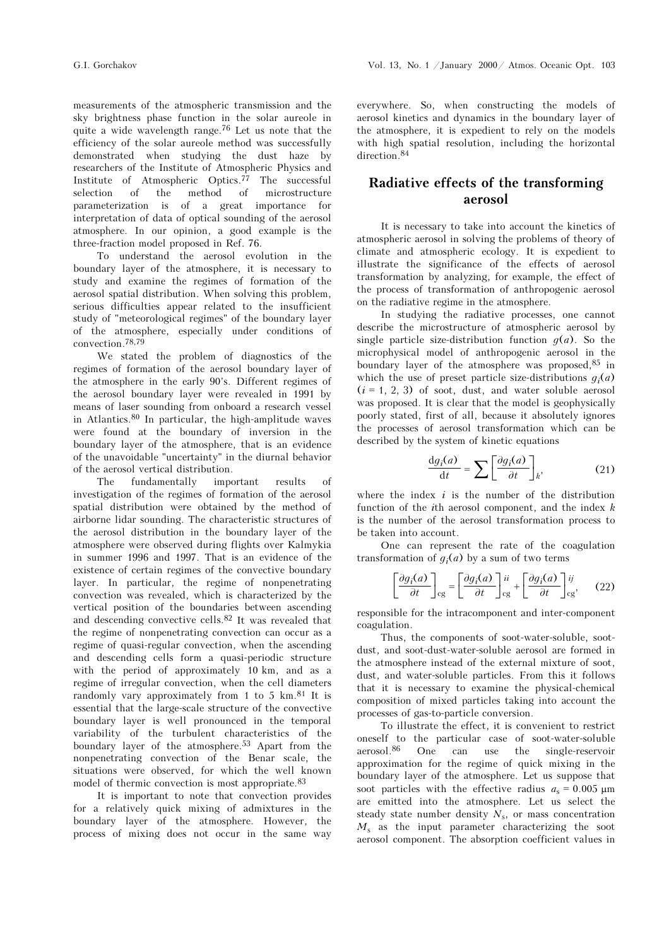measurements of the atmospheric transmission and the sky brightness phase function in the solar aureole in quite a wide wavelength range.76 Let us note that the efficiency of the solar aureole method was successfully demonstrated when studying the dust haze by researchers of the Institute of Atmospheric Physics and Institute of Atmospheric Optics.<sup>77</sup> The successful selection of the method of microstructure of microstructure parameterization is of a great importance for interpretation of data of optical sounding of the aerosol atmosphere. In our opinion, a good example is the three-fraction model proposed in Ref. 76.

To understand the aerosol evolution in the boundary layer of the atmosphere, it is necessary to study and examine the regimes of formation of the aerosol spatial distribution. When solving this problem, serious difficulties appear related to the insufficient study of "meteorological regimes" of the boundary layer of the atmosphere, especially under conditions of convection.78,79

We stated the problem of diagnostics of the regimes of formation of the aerosol boundary layer of the atmosphere in the early 90's. Different regimes of the aerosol boundary layer were revealed in 1991 by means of laser sounding from onboard a research vessel in Atlantics.<sup>80</sup> In particular, the high-amplitude waves were found at the boundary of inversion in the boundary layer of the atmosphere, that is an evidence of the unavoidable "uncertainty" in the diurnal behavior of the aerosol vertical distribution.

The fundamentally important results of investigation of the regimes of formation of the aerosol spatial distribution were obtained by the method of airborne lidar sounding. The characteristic structures of the aerosol distribution in the boundary layer of the atmosphere were observed during flights over Kalmykia in summer 1996 and 1997. That is an evidence of the existence of certain regimes of the convective boundary layer. In particular, the regime of nonpenetrating convection was revealed, which is characterized by the vertical position of the boundaries between ascending and descending convective cells.82 It was revealed that the regime of nonpenetrating convection can occur as a regime of quasi-regular convection, when the ascending and descending cells form a quasi-periodic structure with the period of approximately 10 km, and as a regime of irregular convection, when the cell diameters randomly vary approximately from 1 to 5  $km.^{81}$  It is essential that the large-scale structure of the convective boundary layer is well pronounced in the temporal variability of the turbulent characteristics of the boundary layer of the atmosphere.53 Apart from the nonpenetrating convection of the Benar scale, the situations were observed, for which the well known model of thermic convection is most appropriate.83

It is important to note that convection provides for a relatively quick mixing of admixtures in the boundary layer of the atmosphere. However, the process of mixing does not occur in the same way

everywhere. So, when constructing the models of aerosol kinetics and dynamics in the boundary layer of the atmosphere, it is expedient to rely on the models with high spatial resolution, including the horizontal direction.<sup>84</sup>

## Radiative effects of the transforming aerosol

It is necessary to take into account the kinetics of atmospheric aerosol in solving the problems of theory of climate and atmospheric ecology. It is expedient to illustrate the significance of the effects of aerosol transformation by analyzing, for example, the effect of the process of transformation of anthropogenic aerosol on the radiative regime in the atmosphere.

In studying the radiative processes, one cannot describe the microstructure of atmospheric aerosol by single particle size-distribution function  $q(a)$ . So the microphysical model of anthropogenic aerosol in the boundary layer of the atmosphere was proposed,85 in which the use of preset particle size-distributions  $q_i(a)$  $(i = 1, 2, 3)$  of soot, dust, and water soluble aerosol was proposed. It is clear that the model is geophysically poorly stated, first of all, because it absolutely ignores the processes of aerosol transformation which can be described by the system of kinetic equations

$$
\frac{\mathrm{d}g_i(a)}{\mathrm{d}t} = \sum \left[ \frac{\partial g_i(a)}{\partial t} \right]_k,\tag{21}
$$

where the index  $i$  is the number of the distribution function of the *i*th aerosol component, and the index  $k$ is the number of the aerosol transformation process to be taken into account.

One can represent the rate of the coagulation transformation of  $q_i(a)$  by a sum of two terms

$$
\left[\frac{\partial g_i(a)}{\partial t}\right]_{cg} = \left[\frac{\partial g_i(a)}{\partial t}\right]_{cg}^{ii} + \left[\frac{\partial g_i(a)}{\partial t}\right]_{cg}^{ij},\tag{22}
$$

responsible for the intracomponent and inter-component coagulation.

Thus, the components of soot-water-soluble, sootdust, and soot-dust-water-soluble aerosol are formed in the atmosphere instead of the external mixture of soot, dust, and water-soluble particles. From this it follows that it is necessary to examine the physical-chemical composition of mixed particles taking into account the processes of gas-to-particle conversion.

To illustrate the effect, it is convenient to restrict oneself to the particular case of soot-water-soluble aerosol.86 One can use the single-reservoir approximation for the regime of quick mixing in the boundary layer of the atmosphere. Let us suppose that soot particles with the effective radius  $a_s = 0.005 \mu m$ are emitted into the atmosphere. Let us select the steady state number density  $N_s$ , or mass concentration  $M_s$  as the input parameter characterizing the soot aerosol component. The absorption coefficient values in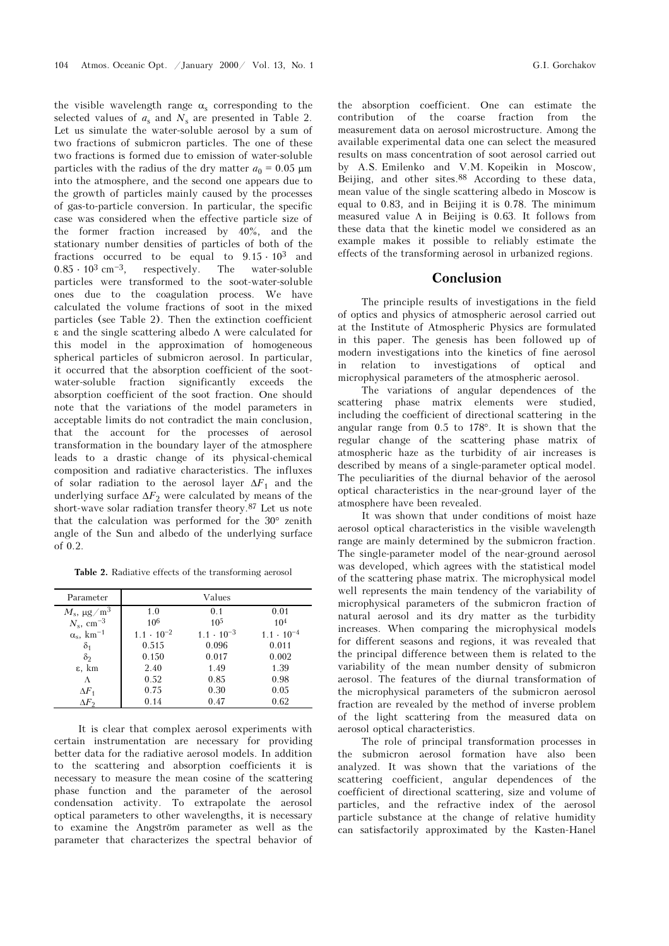the visible wavelength range  $\alpha_s$  corresponding to the selected values of  $a_s$  and  $N_s$  are presented in Table 2. selected values of  $a_s$  and  $N_s$  are presented in Table 2. Let us simulate the water-soluble aerosol by a sum of two fractions of submicron particles. The one of these two fractions is formed due to emission of water-soluble particles with the radius of the dry matter  $a_0 = 0.05 \text{ }\mu\text{m}$ into the atmosphere, and the second one appears due to the growth of particles mainly caused by the processes of gas-to-particle conversion. In particular, the specific case was considered when the effective particle size of the former fraction increased by 40%, and the stationary number densities of particles of both of the stationary number densities of particles of both of the fractions occurred to be equal to  $9.15 \cdot 10^3$  and fractions occurred to be equal to  $9.15 \cdot 10^3$  and  $0.85 \cdot 10^3$  cm<sup>-3</sup>, respectively. The water-soluble particles were transformed to the soot-water-soluble ones due to the coagulation process. We have calculated the volume fractions of soot in the mixed particles (see Table 2). Then the extinction coefficient ε and the single scattering albedo Λ were calculated for this model in the approximation of homogeneous spherical particles of submicron aerosol. In particular, it occurred that the absorption coefficient of the sootwater-soluble fraction significantly exceeds the absorption coefficient of the soot fraction. One should note that the variations of the model parameters in acceptable limits do not contradict the main conclusion, that the account for the processes of aerosol transformation in the boundary layer of the atmosphere leads to a drastic change of its physical-chemical composition and radiative characteristics. The influxes of solar radiation to the aerosol layer  $\Delta F_1$  and the underlying surface  $\Delta F_2$  were calculated by means of the short-wave solar radiation transfer theory.87 Let us note that the calculation was performed for the 30° zenith angle of the Sun and albedo of the underlying surface of 0.2.

Table 2. Radiative effects of the transforming aerosol

| Parameter                     | Values              |                     |                     |  |  |
|-------------------------------|---------------------|---------------------|---------------------|--|--|
| $M_{\rm s}$ , $\mu$ g $/m^3$  | 1.0                 | 0.1                 | 0.01                |  |  |
| $N_s$ , cm <sup>-3</sup>      | 10 <sup>6</sup>     | 10 <sup>5</sup>     | 10 <sup>4</sup>     |  |  |
| $\alpha_s$ , km <sup>-1</sup> | $1.1 \cdot 10^{-2}$ | $1.1 \cdot 10^{-3}$ | $1.1 \cdot 10^{-4}$ |  |  |
| $\delta_1$                    | 0.515               | 0.096               | 0.011               |  |  |
| $\delta$                      | 0.150               | 0.017               | 0.002               |  |  |
| ε, km                         | 2.40                | 1.49                | 1.39                |  |  |
| Λ                             | 0.52                | 0.85                | 0.98                |  |  |
| $\Delta F_1$                  | 0.75                | 0.30                | 0.05                |  |  |
| $\Delta F_2$                  | 0.14                | 0.47                | 0.62                |  |  |

It is clear that complex aerosol experiments with certain instrumentation are necessary for providing better data for the radiative aerosol models. In addition to the scattering and absorption coefficients it is necessary to measure the mean cosine of the scattering phase function and the parameter of the aerosol condensation activity. To extrapolate the aerosol optical parameters to other wavelengths, it is necessary to examine the Angström parameter as well as the parameter that characterizes the spectral behavior of the absorption coefficient. One can estimate the contribution of the coarse fraction from the measurement data on aerosol microstructure. Among the available experimental data one can select the measured results on mass concentration of soot aerosol carried out by A.S. Emilenko and V.M. Kopeikin in Moscow, Beijing, and other sites.88 According to these data, mean value of the single scattering albedo in Moscow is equal to 0.83, and in Beijing it is 0.78. The minimum measured value  $\Lambda$  in Beijing is 0.63. It follows from these data that the kinetic model we considered as an example makes it possible to reliably estimate the effects of the transforming aerosol in urbanized regions.

### Conclusion

The principle results of investigations in the field of optics and physics of atmospheric aerosol carried out at the Institute of Atmospheric Physics are formulated in this paper. The genesis has been followed up of modern investigations into the kinetics of fine aerosol in relation to investigations of optical and microphysical parameters of the atmospheric aerosol.

The variations of angular dependences of the scattering phase matrix elements were studied, including the coefficient of directional scattering in the angular range from 0.5 to 178°. It is shown that the regular change of the scattering phase matrix of atmospheric haze as the turbidity of air increases is described by means of a single-parameter optical model. The peculiarities of the diurnal behavior of the aerosol optical characteristics in the near-ground layer of the atmosphere have been revealed.

It was shown that under conditions of moist haze aerosol optical characteristics in the visible wavelength range are mainly determined by the submicron fraction. The single-parameter model of the near-ground aerosol was developed, which agrees with the statistical model of the scattering phase matrix. The microphysical model well represents the main tendency of the variability of microphysical parameters of the submicron fraction of natural aerosol and its dry matter as the turbidity increases. When comparing the microphysical models for different seasons and regions, it was revealed that the principal difference between them is related to the variability of the mean number density of submicron aerosol. The features of the diurnal transformation of the microphysical parameters of the submicron aerosol fraction are revealed by the method of inverse problem of the light scattering from the measured data on aerosol optical characteristics.

The role of principal transformation processes in the submicron aerosol formation have also been analyzed. It was shown that the variations of the scattering coefficient, angular dependences of the coefficient of directional scattering, size and volume of particles, and the refractive index of the aerosol particle substance at the change of relative humidity can satisfactorily approximated by the Kasten-Hanel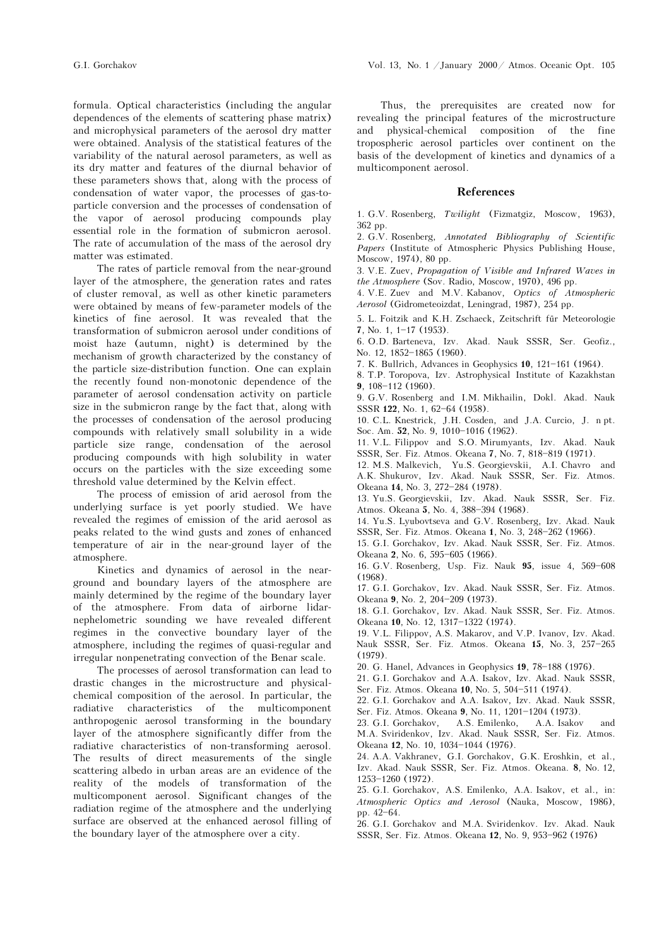formula. Optical characteristics (including the angular dependences of the elements of scattering phase matrix) and microphysical parameters of the aerosol dry matter were obtained. Analysis of the statistical features of the variability of the natural aerosol parameters, as well as its dry matter and features of the diurnal behavior of these parameters shows that, along with the process of condensation of water vapor, the processes of gas-toparticle conversion and the processes of condensation of the vapor of aerosol producing compounds play essential role in the formation of submicron aerosol. The rate of accumulation of the mass of the aerosol dry matter was estimated.

The rates of particle removal from the near-ground layer of the atmosphere, the generation rates and rates of cluster removal, as well as other kinetic parameters were obtained by means of few-parameter models of the kinetics of fine aerosol. It was revealed that the transformation of submicron aerosol under conditions of moist haze (autumn, night) is determined by the mechanism of growth characterized by the constancy of the particle size-distribution function. One can explain the recently found non-monotonic dependence of the parameter of aerosol condensation activity on particle size in the submicron range by the fact that, along with the processes of condensation of the aerosol producing compounds with relatively small solubility in a wide particle size range, condensation of the aerosol producing compounds with high solubility in water occurs on the particles with the size exceeding some threshold value determined by the Kelvin effect.

The process of emission of arid aerosol from the underlying surface is yet poorly studied. We have revealed the regimes of emission of the arid aerosol as peaks related to the wind gusts and zones of enhanced temperature of air in the near-ground layer of the atmosphere.

Kinetics and dynamics of aerosol in the nearground and boundary layers of the atmosphere are mainly determined by the regime of the boundary layer of the atmosphere. From data of airborne lidarnephelometric sounding we have revealed different regimes in the convective boundary layer of the atmosphere, including the regimes of quasi-regular and irregular nonpenetrating convection of the Benar scale.

The processes of aerosol transformation can lead to drastic changes in the microstructure and physicalchemical composition of the aerosol. In particular, the radiative characteristics of the multicomponent anthropogenic aerosol transforming in the boundary layer of the atmosphere significantly differ from the radiative characteristics of non-transforming aerosol. The results of direct measurements of the single scattering albedo in urban areas are an evidence of the reality of the models of transformation of the multicomponent aerosol. Significant changes of the radiation regime of the atmosphere and the underlying surface are observed at the enhanced aerosol filling of the boundary layer of the atmosphere over a city.

Thus, the prerequisites are created now for revealing the principal features of the microstructure and physical-chemical composition of the fine tropospheric aerosol particles over continent on the basis of the development of kinetics and dynamics of a multicomponent aerosol.

#### References

1. G.V. Rosenberg, Twilight (Fizmatgiz, Moscow, 1963), 362 pp.

2. G.V. Rosenberg, Annotated Bibliography of Scientific Papers (Institute of Atmospheric Physics Publishing House, Moscow, 1974), 80 pp.

3. V.E. Zuev, Propagation of Visible and Infrared Waves in the Atmosphere (Sov. Radio, Moscow, 1970), 496 pp.

4. V.E. Zuev and M.V. Kabanov, Optics of Atmospheric Aerosol (Gidrometeoizdat, Leningrad, 1987), 254 pp.

5. L. Foitzik and K.H. Zschaeck, Zeitschrift für Meteorologie 7, No. 1,  $1-17$  (1953).

6. O.D. Barteneva, Izv. Akad. Nauk SSSR, Ser. Geofiz., No. 12, 1852-1865 (1960).

7. K. Bullrich, Advances in Geophysics 10, 121-161 (1964).

8. T.P. Toropova, Izv. Astrophysical Institute of Kazakhstan 9, 108-112 (1960).

9. G.V. Rosenberg and I.M. Mikhailin, Dokl. Akad. Nauk SSSR 122, No. 1, 62-64 (1958).

10. C.L. Knestrick, J.H. Cosden, and J.A. Curcio, J. n pt. Soc. Am. 52, No. 9, 1010-1016 (1962).

11. V.L. Filippov and S.O. Mirumyants, Izv. Akad. Nauk SSSR, Ser. Fiz. Atmos. Okeana 7, No. 7, 818-819 (1971).

12. M.S. Malkevich, Yu.S. Georgievskii, A.I. Chavro and A.K. Shukurov, Izv. Akad. Nauk SSSR, Ser. Fiz. Atmos. Okeana 14, No. 3, 272-284 (1978).

13. Yu.S. Georgievskii, Izv. Akad. Nauk SSSR, Ser. Fiz. Atmos. Okeana 5, No. 4, 388-394 (1968).

14. Yu.S. Lyubovtseva and G.V. Rosenberg, Izv. Akad. Nauk SSSR, Ser. Fiz. Atmos. Okeana 1, No. 3, 248-262 (1966).

15. G.I. Gorchakov, Izv. Akad. Nauk SSSR, Ser. Fiz. Atmos.

Okeana 2, No. 6, 595-605 (1966).

16. G.V. Rosenberg, Usp. Fiz. Nauk 95, issue 4, 569-608 (1968).

17. G.I. Gorchakov, Izv. Akad. Nauk SSSR, Ser. Fiz. Atmos. Okeana 9, No. 2, 204-209 (1973).

18. G.I. Gorchakov, Izv. Akad. Nauk SSSR, Ser. Fiz. Atmos. Okeana 10, No. 12, 1317-1322 (1974).

19. V.L. Filippov, A.S. Makarov, and V.P. Ivanov, Izv. Akad. Nauk SSSR, Ser. Fiz. Atmos. Okeana 15, No. 3, 257-265 (1979).

20. G. Hanel, Advances in Geophysics 19, 78-188 (1976).

21. G.I. Gorchakov and A.A. Isakov, Izv. Akad. Nauk SSSR, Ser. Fiz. Atmos. Okeana 10, No. 5, 504-511 (1974).

22. G.I. Gorchakov and A.A. Isakov, Izv. Akad. Nauk SSSR,

Ser. Fiz. Atmos. Okeana 9, No. 11,  $1201-1204$  (1973).<br>23 G I Gorchakov – A S Emilenko – A A Isakov 23. G.I. Gorchakov, A.S. Emilenko, A.A. Isakov and

M.A. Sviridenkov, Izv. Akad. Nauk SSSR, Ser. Fiz. Atmos. Okeana 12, No. 10, 1034-1044 (1976).

24. A.A. Vakhranev, G.I. Gorchakov, G.K. Eroshkin, et al., Izv. Akad. Nauk SSSR, Ser. Fiz. Atmos. Okeana. 8, No. 12, 1253-1260 (1972).

25. G.I. Gorchakov, A.S. Emilenko, A.A. Isakov, et al., in: Atmospheric Optics and Aerosol (Nauka, Moscow, 1986), pp. 42-64.

26. G.I. Gorchakov and M.A. Sviridenkov. Izv. Akad. Nauk SSSR, Ser. Fiz. Atmos. Okeana 12, No. 9, 953-962 (1976)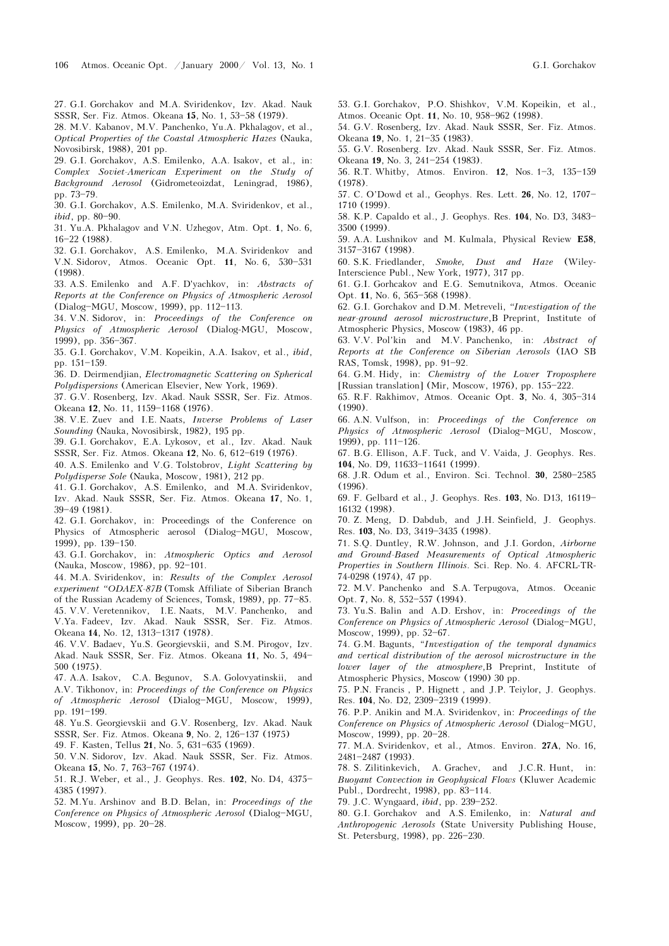27. G.I. Gorchakov and M.A. Sviridenkov, Izv. Akad. Nauk SSSR, Ser. Fiz. Atmos. Okeana 15, No. 1, 53-58 (1979).

28. M.V. Kabanov, M.V. Panchenko, Yu.A. Pkhalagov, et al.,

Optical Properties of the Coastal Atmospheric Hazes (Nauka, Novosibirsk, 1988), 201 pp.

29. G.I. Gorchakov, A.S. Emilenko, A.A. Isakov, et al., in: Complex Soviet-American Experiment on the Study of Background Aerosol (Gidrometeoizdat, Leningrad, 1986),

pp. 73-79.

30. G.I. Gorchakov, A.S. Emilenko, M.A. Sviridenkov, et al.,  $ibid$ , pp. 80-90.

31. Yu.A. Pkhalagov and V.N. Uzhegov, Atm. Opt. 1, No. 6, 16-22 (1988).

32. G.I. Gorchakov, A.S. Emilenko, M.A. Sviridenkov and V.N. Sidorov, Atmos. Oceanic Opt. 11, No. 6, 530-531 (1998).

33. A.S. Emilenko and A.F. D'yachkov, in: Abstracts of Reports at the Conference on Physics of Atmospheric Aerosol (Dialog-MGU, Moscow, 1999), pp. 112-113.

34. V.N. Sidorov, in: Proceedings of the Conference on Physics of Atmospheric Aerosol (Dialog-MGU, Moscow, 1999), pp. 356-367.

35. G.I. Gorchakov, V.M. Kopeikin, A.A. Isakov, et al., ibid, pp. 151-159.

36. D. Deirmendjian, Electromagnetic Scattering on Spherical Polydispersions (American Elsevier, New York, 1969).

37. G.V. Rosenberg, Izv. Akad. Nauk SSSR, Ser. Fiz. Atmos. Okeana 12, No. 11, 1159-1168 (1976).

38. V.E. Zuev and I.E. Naats, Inverse Problems of Laser Sounding (Nauka, Novosibirsk, 1982), 195 pp.

39. G.I. Gorchakov, E.A. Lykosov, et al., Izv. Akad. Nauk SSSR, Ser. Fiz. Atmos. Okeana 12, No. 6, 612-619 (1976).

40. A.S. Emilenko and V.G. Tolstobrov, Light Scattering by Polydisperse Sole (Nauka, Moscow, 1981), 212 pp.

41. G.I. Gorchakov, A.S. Emilenko, and M.A. Sviridenkov, Izv. Akad. Nauk SSSR, Ser. Fiz. Atmos. Okeana 17, No. 1,

39-49 (1981). 42. G.I. Gorchakov, in: Proceedings of the Conference on

Physics of Atmospheric aerosol (Dialog-MGU, Moscow, 1999), pp. 139-150.

43. G.I. Gorchakov, in: Atmospheric Optics and Aerosol (Nauka, Moscow, 1986), pp. 92-101.

44. M.A. Sviridenkov, in: Results of the Complex Aerosol experiment "ODAEX-87B (Tomsk Affiliate of Siberian Branch of the Russian Academy of Sciences, Tomsk,  $1989$ , pp.  $77-85$ .

45. V.V. Veretennikov, I.E. Naats, M.V. Panchenko, and V.Ya. Fadeev, Izv. Akad. Nauk SSSR, Ser. Fiz. Atmos. Okeana 14, No. 12, 1313-1317 (1978).

46. V.V. Badaev, Yu.S. Georgievskii, and S.M. Pirogov, Izv. Akad. Nauk SSSR, Ser. Fiz. Atmos. Okeana 11, No. 5, 494-500 (1975).

47. A.A. Isakov, C.A. Begunov, S.A. Golovyatinskii, and A.V. Tikhonov, in: Proceedings of the Conference on Physics of Atmospheric Aerosol (Dialog-MGU, Moscow, 1999), pp. 191-199.

48. Yu.S. Georgievskii and G.V. Rosenberg, Izv. Akad. Nauk SSSR, Ser. Fiz. Atmos. Okeana 9, No. 2, 126-137 (1975)

49. F. Kasten, Tellus 21, No. 5, 631-635 (1969).

50. V.N. Sidorov, Izv. Akad. Nauk SSSR, Ser. Fiz. Atmos. Okeana 15, No. 7, 763-767 (1974).

51. R.J. Weber, et al., J. Geophys. Res. 102, No. D4, 4375-4385 (1997).

52. M.Yu. Arshinov and B.D. Belan, in: Proceedings of the Conference on Physics of Atmospheric Aerosol (Dialog-MGU, Moscow, 1999), pp. 20-28.

53. G.I. Gorchakov, P.O. Shishkov, V.M. Kopeikin, et al., Atmos. Oceanic Opt. 11, No. 10, 958-962 (1998).

54. G.V. Rosenberg, Izv. Akad. Nauk SSSR, Ser. Fiz. Atmos. Okeana 19, No. 1, 21-35 (1983).

55. G.V. Rosenberg. Izv. Akad. Nauk SSSR, Ser. Fiz. Atmos. Okeana 19, No. 3, 241-254 (1983).

56. R.T. Whitby, Atmos. Environ. **12**, Nos. 1-3, 135-159 (1978).

57. C. O'Dowd et al., Geophys. Res. Lett. **26**, No. 12, 1707-1710 (1999).

58. K.P. Capaldo et al., J. Geophys. Res. 104, No. D3, 3483-3500 (1999).

59. A.A. Lushnikov and M. Kulmala, Physical Review E58, 3157-3167 (1998).

60. S.K. Friedlander, Smoke, Dust and Haze (Wiley-Interscience Publ., New York, 1977), 317 pp.

61. G.I. Gorhcakov and E.G. Semutnikova, Atmos. Oceanic Opt. 11, No. 6, 565-568 (1998).

62. G.I. Gorchakov and D.M. Metreveli, "Investigation of the near-ground aerosol microstructure,B Preprint, Institute of Atmospheric Physics, Moscow (1983), 46 pp.

63. V.V. Pol'kin and M.V. Panchenko, in: Abstract of Reports at the Conference on Siberian Aerosols (IAO SB RAS, Tomsk, 1998), pp. 91-92.

64. G.M. Hidy, in: Chemistry of the Lower Troposphere [Russian translation] (Mir, Moscow, 1976), pp.  $155-222$ .

65. R.F. Rakhimov, Atmos. Oceanic Opt. 3, No. 4, 305-314 (1990).

66. A.N. Vulfson, in: Proceedings of the Conference on Physics of Atmospheric Aerosol (Dialog-MGU, Moscow, 1999), pp.  $111-126$ .

67. B.G. Ellison, A.F. Tuck, and V. Vaida, J. Geophys. Res. 104, No. D9, 11633-11641 (1999).

68. J.R. Odum et al., Environ. Sci. Technol. 30, 2580-2585 (1996).

69. F. Gelbard et al., J. Geophys. Res. 103, No. D13, 16119-16132 (1998).

70. Z. Meng, D. Dabdub, and J.H. Seinfield, J. Geophys. Res. 103, No. D3, 3419-3435 (1998).

71. S.Q. Duntley, R.W. Johnson, and J.I. Gordon, Airborne and Ground-Based Measurements of Optical Atmospheric Properties in Southern Illinois. Sci. Rep. No. 4. AFCRL-TR-74-0298 (1974), 47 pp.

72. M.V. Panchenko and S.A. Terpugova, Atmos. Oceanic Opt. 7, No. 8, 552-557 (1994).

73. Yu.S. Balin and A.D. Ershov, in: Proceedings of the Conference on Physics of Atmospheric Aerosol (Dialog-MGU, Moscow, 1999), pp. 52-67.

74. G.M. Bagunts, "Investigation of the temporal dynamics and vertical distribution of the aerosol microstructure in the lower layer of the atmosphere,B Preprint, Institute of Atmospheric Physics, Moscow (1990) 30 pp.

75. P.N. Francis , P. Hignett , and J.P. Teiylor, J. Geophys. Res. 104, No. D2, 2309-2319 (1999).

76. P.P. Anikin and M.A. Sviridenkov, in: Proceedings of the Conference on Physics of Atmospheric Aerosol (Dialog-MGU, Moscow, 1999), pp. 20-28.

77. M.A. Sviridenkov, et al., Atmos. Environ. 27A, No. 16, 2481-2487 (1993).

78. S. Zilitinkevich, A. Grachev, and J.C.R. Hunt, in: Buoyant Convection in Geophysical Flows (Kluwer Academic Publ., Dordrecht, 1998), pp. 83-114.

79. J.C. Wyngaard, ibid, pp. 239-252.

80. G.I. Gorchakov and A.S. Emilenko, in: Natural and Anthropogenic Aerosols (State University Publishing House, St. Petersburg, 1998), pp. 226-230.